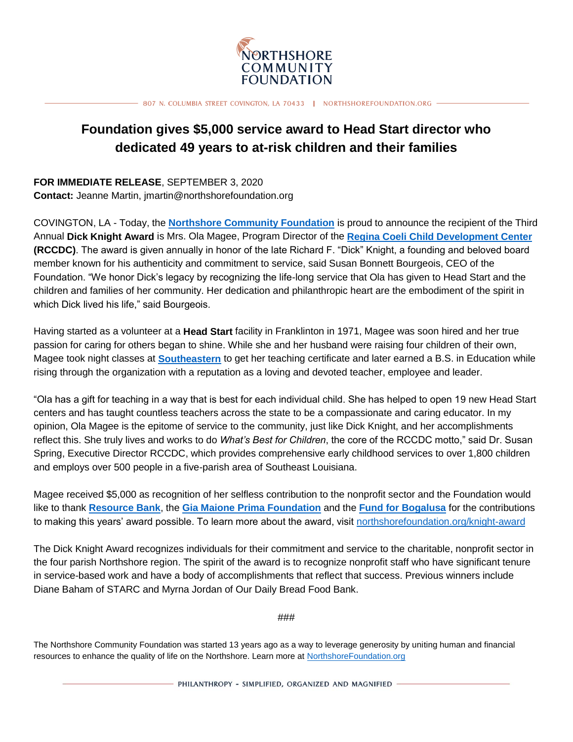

807 N. COLUMBIA STREET COVINGTON, LA 70433 | NORTHSHOREFOUNDATION.ORG

## **Foundation gives \$5,000 service award to Head Start director who dedicated 49 years to at-risk children and their families**

**FOR IMMEDIATE RELEASE**, SEPTEMBER 3, 2020 **Contact:** Jeanne Martin, jmartin@northshorefoundation.org

COVINGTON, LA - Today, the **[Northshore Community Foundation](http://www.northshorefoundation.org/)** is proud to announce the recipient of the Third Annual **Dick Knight Award** is Mrs. Ola Magee, Program Director of the **[Regina Coeli Child Development Center](http://rccdc.org/) (RCCDC)**. The award is given annually in honor of the late Richard F. "Dick" Knight, a founding and beloved board member known for his authenticity and commitment to service, said Susan Bonnett Bourgeois, CEO of the Foundation. "We honor Dick's legacy by recognizing the life-long service that Ola has given to Head Start and the children and families of her community. Her dedication and philanthropic heart are the embodiment of the spirit in which Dick lived his life," said Bourgeois.

Having started as a volunteer at a **Head Start** facility in Franklinton in 1971, Magee was soon hired and her true passion for caring for others began to shine. While she and her husband were raising four children of their own, Magee took night classes at **[Southeastern](http://www.southeastern.edu/)** to get her teaching certificate and later earned a B.S. in Education while rising through the organization with a reputation as a loving and devoted teacher, employee and leader.

"Ola has a gift for teaching in a way that is best for each individual child. She has helped to open 19 new Head Start centers and has taught countless teachers across the state to be a compassionate and caring educator. In my opinion, Ola Magee is the epitome of service to the community, just like Dick Knight, and her accomplishments reflect this. She truly lives and works to do *What's Best for Children*, the core of the RCCDC motto," said Dr. Susan Spring, Executive Director RCCDC, which provides comprehensive early childhood services to over 1,800 children and employs over 500 people in a five-parish area of Southeast Louisiana.

Magee received \$5,000 as recognition of her selfless contribution to the nonprofit sector and the Foundation would like to thank **[Resource Bank](https://www.resource.bank/)**, the **[Gia Maione Prima Foundation](https://www.giamaioneprimafoundation.com/)** and the **[Fund for Bogalusa](https://www.northshorefoundation.org/fund-for-bogalusa)** for the contributions to making this years' award possible. To learn more about the award, visit [northshorefoundation.org/knight-award](https://www.northshorefoundation.org/knight-award)

The Dick Knight Award recognizes individuals for their commitment and service to the charitable, nonprofit sector in the four parish Northshore region. The spirit of the award is to recognize nonprofit staff who have significant tenure in service-based work and have a body of accomplishments that reflect that success. Previous winners include Diane Baham of STARC and Myrna Jordan of Our Daily Bread Food Bank.

###

The Northshore Community Foundation was started 13 years ago as a way to leverage generosity by uniting human and financial resources to enhance the quality of life on the Northshore. Learn more at [NorthshoreFoundation.org](https://www.northshorefoundation.org/)